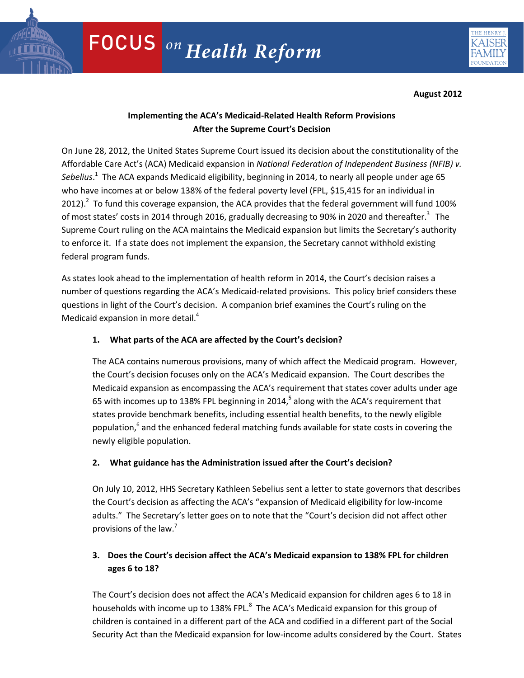

**August 2012**

# **Implementing the ACA's Medicaid-Related Health Reform Provisions After the Supreme Court's Decision**

On June 28, 2012, the United States Supreme Court issued its decision about the constitutionality of the Affordable Care Act's (ACA) Medicaid expansion in *National Federation of Independent Business (NFIB) v. Sebelius*. 1 The ACA expands Medicaid eligibility, beginning in 2014, to nearly all people under age 65 who have incomes at or below 138% of the federal poverty level (FPL, \$15,415 for an individual in 2012).<sup>2</sup> To fund this coverage expansion, the ACA provides that the federal government will fund 100% of most states' costs in 2014 through 2016, gradually decreasing to 90% in 2020 and thereafter.<sup>3</sup> The Supreme Court ruling on the ACA maintains the Medicaid expansion but limits the Secretary's authority to enforce it. If a state does not implement the expansion, the Secretary cannot withhold existing federal program funds.

As states look ahead to the implementation of health reform in 2014, the Court's decision raises a number of questions regarding the ACA's Medicaid-related provisions. This policy brief considers these questions in light of the Court's decision. A companion brief examines the Court's ruling on the Medicaid expansion in more detail. $4$ 

## **1. What parts of the ACA are affected by the Court's decision?**

The ACA contains numerous provisions, many of which affect the Medicaid program. However, the Court's decision focuses only on the ACA's Medicaid expansion. The Court describes the Medicaid expansion as encompassing the ACA's requirement that states cover adults under age 65 with incomes up to 138% FPL beginning in 2014,<sup>5</sup> along with the ACA's requirement that states provide benchmark benefits, including essential health benefits, to the newly eligible population,<sup>6</sup> and the enhanced federal matching funds available for state costs in covering the newly eligible population.

## **2. What guidance has the Administration issued after the Court's decision?**

On July 10, 2012, HHS Secretary Kathleen Sebelius sent a letter to state governors that describes the Court's decision as affecting the ACA's "expansion of Medicaid eligibility for low-income adults." The Secretary's letter goes on to note that the "Court's decision did not affect other provisions of the law.<sup>7</sup>

# **3. Does the Court's decision affect the ACA's Medicaid expansion to 138% FPL for children ages 6 to 18?**

children is contained in a different part of the ACA and codified in a different part of the Social Security Act than the Medicaid expansion for low-income adults considered by the Court. States The Court's decision does not affect the ACA's Medicaid expansion for children ages 6 to 18 in households with income up to 138% FPL.<sup>8</sup> The ACA's Medicaid expansion for this group of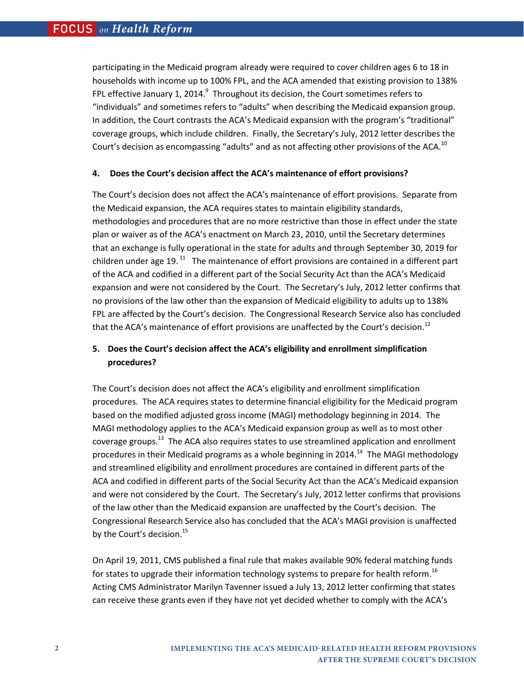participating in the Medicaid program already were required to cover children ages 6 to 18 in households with income up to 100% FPL, and the ACA amended that existing provision to 138% FPL effective January 1, 2014. $^9$  Throughout its decision, the Court sometimes refers to "individuals" and sometimes refers to "adults" when describing the Medicaid expansion group. In addition, the Court contrasts the ACA's Medicaid expansion with the program's "traditional" coverage groups, which include children. Finally, the Secretary's July, 2012 letter describes the Court's decision as encompassing "adults" and as not affecting other provisions of the ACA.<sup>10</sup>

#### **4. Does the Court's decision affect the ACA's maintenance of effort provisions?**

The Court's decision does not affect the ACA's maintenance of effort provisions. Separate from the Medicaid expansion, the ACA requires states to maintain eligibility standards, methodologies and procedures that are no more restrictive than those in effect under the state plan or waiver as of the ACA's enactment on March 23, 2010, until the Secretary determines that an exchange is fully operational in the state for adults and through September 30, 2019 for children under age 19. $^{11}$  The maintenance of effort provisions are contained in a different part of the ACA and codified in a different part of the Social Security Act than the ACA's Medicaid expansion and were not considered by the Court. The Secretary's July, 2012 letter confirms that no provisions of the law other than the expansion of Medicaid eligibility to adults up to 138% FPL are affected by the Court's decision. The Congressional Research Service also has concluded that the ACA's maintenance of effort provisions are unaffected by the Court's decision.<sup>12</sup>

## **5. Does the Court's decision affect the ACA's eligibility and enrollment simplification procedures?**

The Court's decision does not affect the ACA's eligibility and enrollment simplification procedures. The ACA requires states to determine financial eligibility for the Medicaid program based on the modified adjusted gross income (MAGI) methodology beginning in 2014. The MAGI methodology applies to the ACA's Medicaid expansion group as well as to most other coverage groups.<sup>13</sup> The ACA also requires states to use streamlined application and enrollment procedures in their Medicaid programs as a whole beginning in 2014.<sup>14</sup> The MAGI methodology and streamlined eligibility and enrollment procedures are contained in different parts of the ACA and codified in different parts of the Social Security Act than the ACA's Medicaid expansion and were not considered by the Court. The Secretary's July, 2012 letter confirms that provisions of the law other than the Medicaid expansion are unaffected by the Court's decision. The Congressional Research Service also has concluded that the ACA's MAGI provision is unaffected by the Court's decision.<sup>15</sup>

On April 19, 2011, CMS published a final rule that makes available 90% federal matching funds for states to upgrade their information technology systems to prepare for health reform.<sup>16</sup> Acting CMS Administrator Marilyn Tavenner issued a July 13, 2012 letter confirming that states can receive these grants even if they have not yet decided whether to comply with the ACA's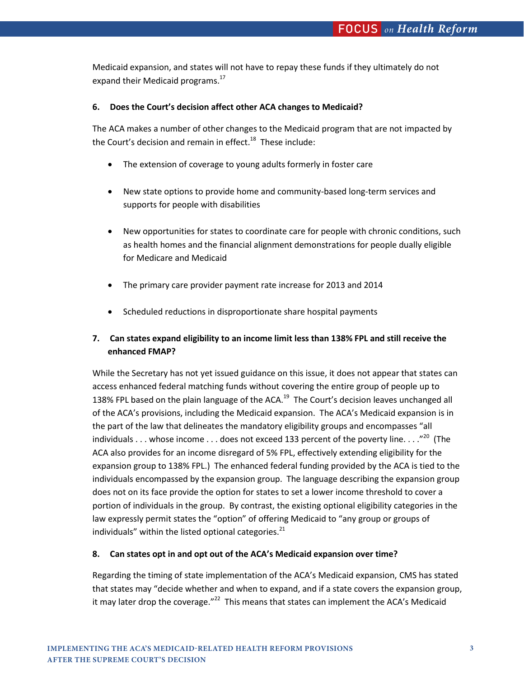Medicaid expansion, and states will not have to repay these funds if they ultimately do not expand their Medicaid programs.<sup>17</sup>

### **6. Does the Court's decision affect other ACA changes to Medicaid?**

The ACA makes a number of other changes to the Medicaid program that are not impacted by the Court's decision and remain in effect.<sup>18</sup> These include:

- The extension of coverage to young adults formerly in foster care
- New state options to provide home and community-based long-term services and supports for people with disabilities
- New opportunities for states to coordinate care for people with chronic conditions, such as health homes and the financial alignment demonstrations for people dually eligible for Medicare and Medicaid
- The primary care provider payment rate increase for 2013 and 2014
- Scheduled reductions in disproportionate share hospital payments

## **7. Can states expand eligibility to an income limit less than 138% FPL and still receive the enhanced FMAP?**

While the Secretary has not yet issued guidance on this issue, it does not appear that states can access enhanced federal matching funds without covering the entire group of people up to 138% FPL based on the plain language of the ACA.<sup>19</sup> The Court's decision leaves unchanged all of the ACA's provisions, including the Medicaid expansion. The ACA's Medicaid expansion is in the part of the law that delineates the mandatory eligibility groups and encompasses "all individuals  $\dots$  whose income  $\dots$  does not exceed 133 percent of the poverty line.  $\dots$ <sup>20</sup> (The ACA also provides for an income disregard of 5% FPL, effectively extending eligibility for the expansion group to 138% FPL.) The enhanced federal funding provided by the ACA is tied to the individuals encompassed by the expansion group. The language describing the expansion group does not on its face provide the option for states to set a lower income threshold to cover a portion of individuals in the group. By contrast, the existing optional eligibility categories in the law expressly permit states the "option" of offering Medicaid to "any group or groups of individuals" within the listed optional categories. $^{21}$ 

### **8. Can states opt in and opt out of the ACA's Medicaid expansion over time?**

Regarding the timing of state implementation of the ACA's Medicaid expansion, CMS has stated that states may "decide whether and when to expand, and if a state covers the expansion group, it may later drop the coverage." $^{22}$  This means that states can implement the ACA's Medicaid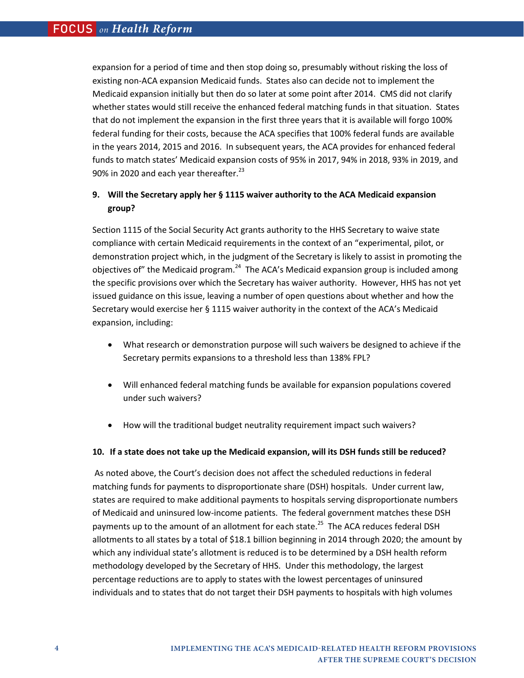expansion for a period of time and then stop doing so, presumably without risking the loss of existing non-ACA expansion Medicaid funds. States also can decide not to implement the Medicaid expansion initially but then do so later at some point after 2014. CMS did not clarify whether states would still receive the enhanced federal matching funds in that situation.States that do not implement the expansion in the first three years that it is available will forgo 100% federal funding for their costs, because the ACA specifies that 100% federal funds are available in the years 2014, 2015 and 2016. In subsequent years, the ACA provides for enhanced federal funds to match states' Medicaid expansion costs of 95% in 2017, 94% in 2018, 93% in 2019, and 90% in 2020 and each year thereafter. $^{23}$ 

## **9. Will the Secretary apply her § 1115 waiver authority to the ACA Medicaid expansion group?**

Section 1115 of the Social Security Act grants authority to the HHS Secretary to waive state compliance with certain Medicaid requirements in the context of an "experimental, pilot, or demonstration project which, in the judgment of the Secretary is likely to assist in promoting the objectives of" the Medicaid program. $^{24}$  The ACA's Medicaid expansion group is included among the specific provisions over which the Secretary has waiver authority. However, HHS has not yet issued guidance on this issue, leaving a number of open questions about whether and how the Secretary would exercise her § 1115 waiver authority in the context of the ACA's Medicaid expansion, including:

- What research or demonstration purpose will such waivers be designed to achieve if the Secretary permits expansions to a threshold less than 138% FPL?
- Will enhanced federal matching funds be available for expansion populations covered under such waivers?
- How will the traditional budget neutrality requirement impact such waivers?

### **10. If a state does not take up the Medicaid expansion, will its DSH funds still be reduced?**

 As noted above, the Court's decision does not affect the scheduled reductions in federal matching funds for payments to disproportionate share (DSH) hospitals. Under current law, states are required to make additional payments to hospitals serving disproportionate numbers of Medicaid and uninsured low-income patients. The federal government matches these DSH payments up to the amount of an allotment for each state.<sup>25</sup> The ACA reduces federal DSH allotments to all states by a total of \$18.1 billion beginning in 2014 through 2020; the amount by which any individual state's allotment is reduced is to be determined by a DSH health reform methodology developed by the Secretary of HHS. Under this methodology, the largest percentage reductions are to apply to states with the lowest percentages of uninsured individuals and to states that do not target their DSH payments to hospitals with high volumes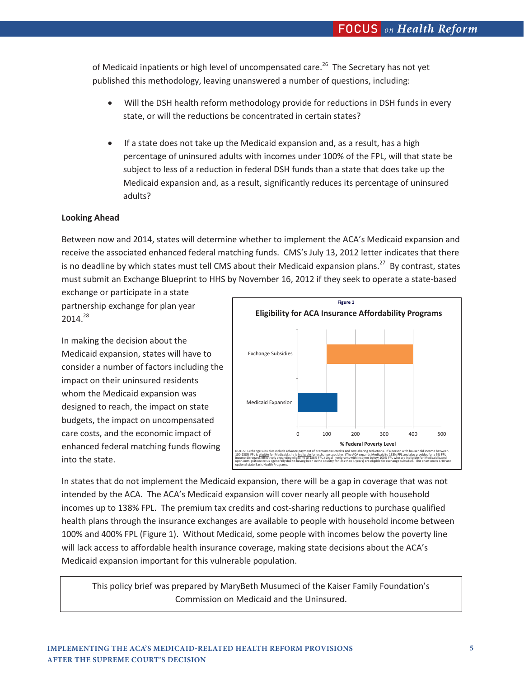of Medicaid inpatients or high level of uncompensated care.<sup>26</sup> The Secretary has not yet published this methodology, leaving unanswered a number of questions, including:

- Will the DSH health reform methodology provide for reductions in DSH funds in every state, or will the reductions be concentrated in certain states?
- If a state does not take up the Medicaid expansion and, as a result, has a high percentage of uninsured adults with incomes under 100% of the FPL, will that state be subject to less of a reduction in federal DSH funds than a state that does take up the Medicaid expansion and, as a result, significantly reduces its percentage of uninsured adults?

### **Looking Ahead**

Between now and 2014, states will determine whether to implement the ACA's Medicaid expansion and receive the associated enhanced federal matching funds. CMS's July 13, 2012 letter indicates that there is no deadline by which states must tell CMS about their Medicaid expansion plans.<sup>27</sup> By contrast, states must submit an Exchange Blueprint to HHS by November 16, 2012 if they seek to operate a state-based exchange or participate in a state

partnership exchange for plan year 2014.28

In making the decision about the Medicaid expansion, states will have to consider a number of factors including the impact on their uninsured residents whom the Medicaid expansion was designed to reach, the impact on state budgets, the impact on uncompensated care costs, and the economic impact of enhanced federal matching funds flowing into the state.



In states that do not implement the Medicaid expansion, there will be a gap in coverage that was not intended by the ACA. The ACA's Medicaid expansion will cover nearly all people with household incomes up to 138% FPL. The premium tax credits and cost-sharing reductions to purchase qualified health plans through the insurance exchanges are available to people with household income between 100% and 400% FPL (Figure 1). Without Medicaid, some people with incomes below the poverty line will lack access to affordable health insurance coverage, making state decisions about the ACA's Medicaid expansion important for this vulnerable population.

This policy brief was prepared by MaryBeth Musumeci of the Kaiser Family Foundation's Commission on Medicaid and the Uninsured.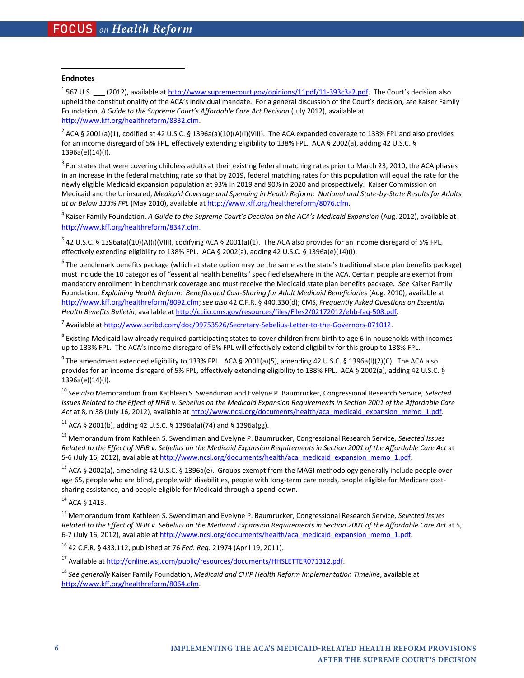#### **Endnotes**

 $\overline{\phantom{a}}$ 

<sup>1</sup> 567 U.S.  $\_\_$  (2012), available at http://www.supremecourt.gov/opinions/11pdf/11-393c3a2.pdf. The Court's decision also upheld the constitutionality of the ACA's individual mandate. For a general discussion of the Court's decision, *see* Kaiser Family Foundation, *A Guide to the Supreme Court's Affordable Care Act Decision* (July 2012), available at http://www.kff.org/healthreform/8332.cfm.

 $^2$  ACA § 2001(a)(1), codified at 42 U.S.C. § 1396a(a)(10)(A)(i)(VIII). The ACA expanded coverage to 133% FPL and also provides for an income disregard of 5% FPL, effectively extending eligibility to 138% FPL. ACA § 2002(a), adding 42 U.S.C. § 1396a(e)(14)(I).

 $^3$  For states that were covering childless adults at their existing federal matching rates prior to March 23, 2010, the ACA phases in an increase in the federal matching rate so that by 2019, federal matching rates for this population will equal the rate for the newly eligible Medicaid expansion population at 93% in 2019 and 90% in 2020 and prospectively. Kaiser Commission on Medicaid and the Uninsured, *Medicaid Coverage and Spending in Health Reform: National and State-by-State Results for Adults at or Below 133% FPL* (May 2010), available at http://www.kff.org/healthereform/8076.cfm.

<sup>4</sup> Kaiser Family Foundation, *A Guide to the Supreme Court's Decision on the ACA's Medicaid Expansion (Aug. 2012), available at* http://www.kff.org/healthreform/8347.cfm.

 $^5$  42 U.S.C. § 1396a(a)(10)(A)(i)(VIII), codifying ACA § 2001(a)(1). The ACA also provides for an income disregard of 5% FPL, effectively extending eligibility to 138% FPL. ACA § 2002(a), adding 42 U.S.C. § 1396a(e)(14)(I).

 $^6$  The benchmark benefits package (which at state option may be the same as the state's traditional state plan benefits package) must include the 10 categories of "essential health benefits" specified elsewhere in the ACA. Certain people are exempt from mandatory enrollment in benchmark coverage and must receive the Medicaid state plan benefits package. *See* Kaiser Family Foundation, *Explaining Health Reform: Benefits and Cost-Sharing for Adult Medicaid Beneficiaries* (Aug. 2010), available at http://www.kff.org/healthreform/8092.cfm; *see also* 42 C.F.R. § 440.330(d); CMS, *Frequently Asked Questions on Essential Health Benefits Bulletin*, available at http://cciio.cms.gov/resources/files/Files2/02172012/ehb-faq-508.pdf.

<sup>7</sup> Available at http://www.scribd.com/doc/99753526/Secretary-Sebelius-Letter-to-the-Governors-071012.

 $^8$  Existing Medicaid law already required participating states to cover children from birth to age 6 in households with incomes up to 133% FPL. The ACA's income disregard of 5% FPL will effectively extend eligibility for this group to 138% FPL.

 $^9$  The amendment extended eligibility to 133% FPL. ACA § 2001(a)(5), amending 42 U.S.C. § 1396a(l)(2)(C). The ACA also provides for an income disregard of 5% FPL, effectively extending eligibility to 138% FPL. ACA § 2002(a), adding 42 U.S.C. § 1396a(e)(14)(I).

<sup>10</sup> *See also* Memorandum from Kathleen S. Swendiman and Evelyne P. Baumrucker, Congressional Research Service, *Selected Issues Related to the Effect of NFIB v. Sebelius on the Medicaid Expansion Requirements in Section 2001 of the Affordable Care*  Act at 8, n.38 (July 16, 2012), available at http://www.ncsl.org/documents/health/aca\_medicaid\_expansion\_memo\_1.pdf.

<sup>11</sup> ACA § 2001(b), adding 42 U.S.C. § 1396a(a)(74) and § 1396a(gg).

12 Memorandum from Kathleen S. Swendiman and Evelyne P. Baumrucker, Congressional Research Service, *Selected Issues Related to the Effect of NFIB v. Sebelius on the Medicaid Expansion Requirements in Section 2001 of the Affordable Care Act* at 5-6 (July 16, 2012), available at http://www.ncsl.org/documents/health/aca\_medicaid\_expansion\_memo\_1.pdf.

<sup>13</sup> ACA § 2002(a), amending 42 U.S.C. § 1396a(e). Groups exempt from the MAGI methodology generally include people over age 65, people who are blind, people with disabilities, people with long-term care needs, people eligible for Medicare costsharing assistance, and people eligible for Medicaid through a spend-down.

14 ACA § 1413.

15 Memorandum from Kathleen S. Swendiman and Evelyne P. Baumrucker, Congressional Research Service, *Selected Issues Related to the Effect of NFIB v. Sebelius on the Medicaid Expansion Requirements in Section 2001 of the Affordable Care Act* at 5, 6-7 (July 16, 2012), available at http://www.ncsl.org/documents/health/aca\_medicaid\_expansion\_memo\_1.pdf.

16 42 C.F.R. § 433.112, published at 76 *Fed. Reg.* 21974 (April 19, 2011).

17 Available at http://online.wsj.com/public/resources/documents/HHSLETTER071312.pdf.

<sup>18</sup> *See generally* Kaiser Family Foundation, *Medicaid and CHIP Health Reform Implementation Timeline*, available at http://www.kff.org/healthreform/8064.cfm.